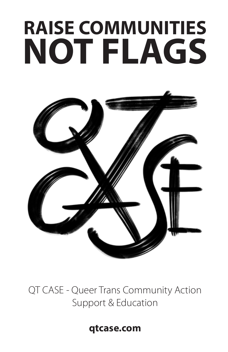# **RAISE COMMUNITIES NOT FLAGS**



QT CASE - Queer Trans Community Action Support & Education

**qtcase.com**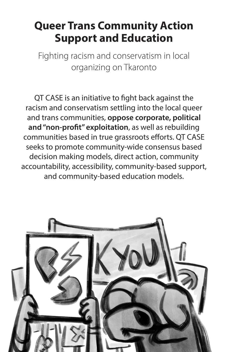#### **Queer Trans Community Action Support and Education**

Fighting racism and conservatism in local organizing on Tkaronto

QT CASE is an initiative to fight back against the racism and conservatism settling into the local queer and trans communities, **oppose corporate, political and "non-profit" exploitation**, as well as rebuilding communities based in true grassroots efforts. QT CASE seeks to promote community-wide consensus based decision making models, direct action, community accountability, accessibility, community-based support, and community-based education models.

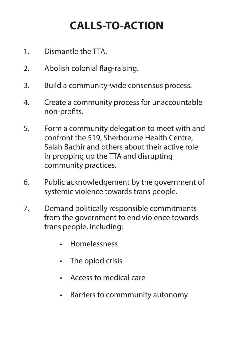## **CALLS-TO-ACTION**

- 1. Dismantle the TTA.
- 2. Abolish colonial flag-raising.
- 3. Build a community-wide consensus process.
- 4. Create a community process for unaccountable non-profits.
- 5. Form a community delegation to meet with and confront the 519, Sherbourne Health Centre, Salah Bachir and others about their active role in propping up the TTA and disrupting community practices.
- 6. Public acknowledgement by the government of systemic violence towards trans people.
- 7. Demand politically responsible commitments from the government to end violence towards trans people, including:
	- **Homelessness**
	- The opiod crisis
	- • Access to medical care
	- • Barriers to commmunity autonomy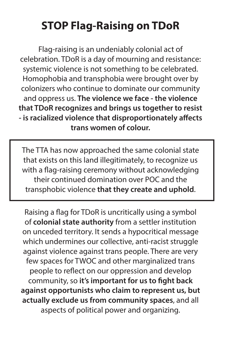## **STOP Flag-Raising on TDoR**

Flag-raising is an undeniably colonial act of celebration. TDoR is a day of mourning and resistance: systemic violence is not something to be celebrated. Homophobia and transphobia were brought over by colonizers who continue to dominate our community and oppress us. **The violence we face - the violence that TDoR recognizes and brings us together to resist - is racialized violence that disproportionately affects trans women of colour.** 

The TTA has now approached the same colonial state that exists on this land illegitimately, to recognize us with a flag-raising ceremony without acknowledging their continued domination over POC and the transphobic violence **that they create and uphold**.

Raising a flag for TDoR is uncritically using a symbol of **colonial state authority** from a settler institution on unceded territory. It sends a hypocritical message which undermines our collective, anti-racist struggle against violence against trans people. There are very few spaces for TWOC and other marginalized trans people to reflect on our oppression and develop community, so **it's important for us to fight back against opportunists who claim to represent us, but actually exclude us from community spaces**, and all aspects of political power and organizing.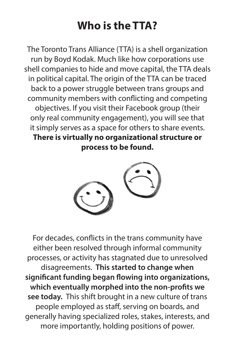#### **Who is the TTA?**

The Toronto Trans Alliance (TTA) is a shell organization run by Boyd Kodak. Much like how corporations use shell companies to hide and move capital, the TTA deals in political capital. The origin of the TTA can be traced back to a power struggle between trans groups and community members with conflicting and competing objectives. If you visit their Facebook group (their only real community engagement), you will see that it simply serves as a space for others to share events. **There is virtually no organizational structure or process to be found.**



For decades, conflicts in the trans community have either been resolved through informal community processes, or activity has stagnated due to unresolved disagreements. **This started to change when significant funding began flowing into organizations, which eventually morphed into the non-profits we see today.** This shift brought in a new culture of trans people employed as staff, serving on boards, and generally having specialized roles, stakes, interests, and more importantly, holding positions of power.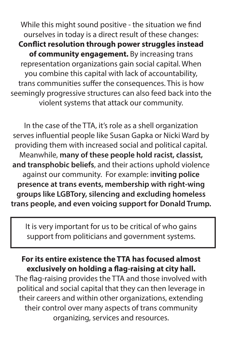While this might sound positive - the situation we find ourselves in today is a direct result of these changes: **Conflict resolution through power struggles instead of community engagement.** By increasing trans representation organizations gain social capital. When you combine this capital with lack of accountability, trans communities suffer the consequences. This is how seemingly progressive structures can also feed back into the violent systems that attack our community.

In the case of the TTA, it's role as a shell organization serves influential people like Susan Gapka or Nicki Ward by providing them with increased social and political capital. Meanwhile, **many of these people hold racist, classist, and transphobic beliefs**, and their actions uphold violence against our community. For example: i**nviting police presence at trans events, membership with right-wing groups like LGBTory, silencing and excluding homeless trans people, and even voicing support for Donald Trump.** 

It is very important for us to be critical of who gains support from politicians and government systems.

#### **For its entire existence the TTA has focused almost exclusively on holding a flag-raising at city hall.**

The flag-raising provides the TTA and those involved with political and social capital that they can then leverage in their careers and within other organizations, extending their control over many aspects of trans community organizing, services and resources.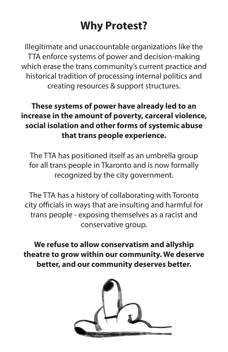## **Why Protest?**

Illegitimate and unaccountable organizations like the TTA enforce systems of power and decision-making which erase the trans community's current practice and historical tradition of processing internal politics and creating resources & support structures.

#### **These systems of power have already led to an increase in the amount of poverty, carceral violence, social isolation and other forms of systemic abuse that trans people experience.**

The TTA has positioned itself as an umbrella group for all trans people in Tkaronto and is now formally recognized by the city government.

The TTA has a history of collaborating with Toronto city officials in ways that are insulting and harmful for trans people - exposing themselves as a racist and conservative group.

**We refuse to allow conservatism and allyship theatre to grow within our community. We deserve better, and our community deserves better.**